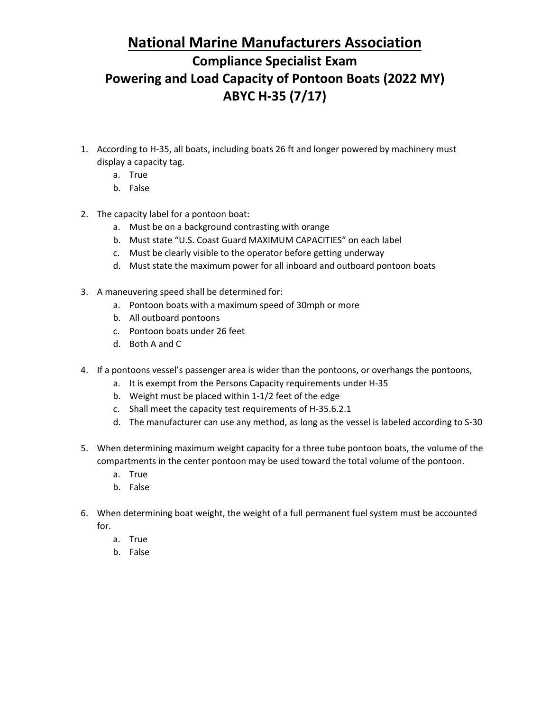## **National Marine Manufacturers Association Compliance Specialist Exam Powering and Load Capacity of Pontoon Boats (2022 MY) ABYC H-35 (7/17)**

- 1. According to H-35, all boats, including boats 26 ft and longer powered by machinery must display a capacity tag.
	- a. True
	- b. False
- 2. The capacity label for a pontoon boat:
	- a. Must be on a background contrasting with orange
	- b. Must state "U.S. Coast Guard MAXIMUM CAPACITIES" on each label
	- c. Must be clearly visible to the operator before getting underway
	- d. Must state the maximum power for all inboard and outboard pontoon boats
- 3. A maneuvering speed shall be determined for:
	- a. Pontoon boats with a maximum speed of 30mph or more
	- b. All outboard pontoons
	- c. Pontoon boats under 26 feet
	- d. Both A and C
- 4. If a pontoons vessel's passenger area is wider than the pontoons, or overhangs the pontoons,
	- a. It is exempt from the Persons Capacity requirements under H-35
	- b. Weight must be placed within 1-1/2 feet of the edge
	- c. Shall meet the capacity test requirements of H-35.6.2.1
	- d. The manufacturer can use any method, as long as the vessel is labeled according to S-30
- 5. When determining maximum weight capacity for a three tube pontoon boats, the volume of the compartments in the center pontoon may be used toward the total volume of the pontoon.
	- a. True
	- b. False
- 6. When determining boat weight, the weight of a full permanent fuel system must be accounted for.
	- a. True
	- b. False